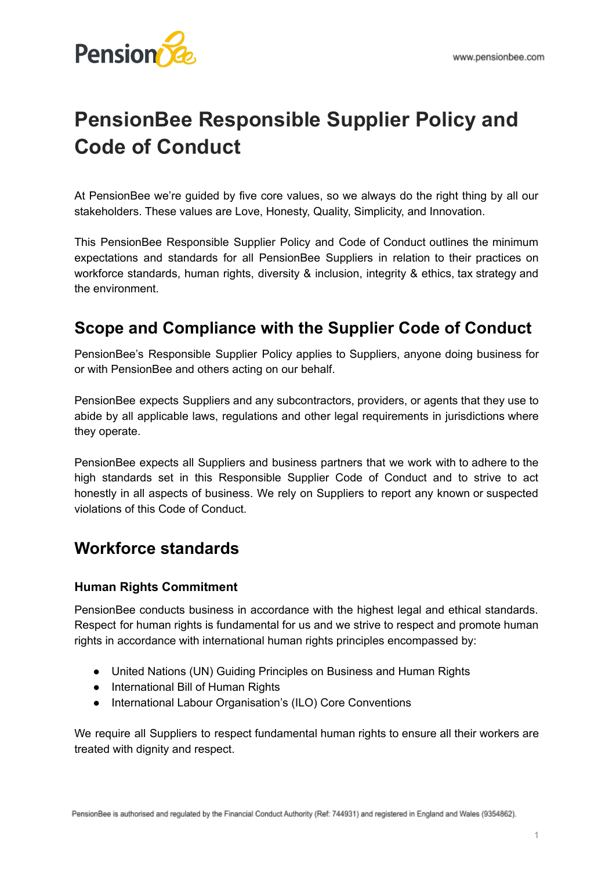

# **PensionBee Responsible Supplier Policy and Code of Conduct**

At PensionBee we're guided by five core values, so we always do the right thing by all our stakeholders. These values are Love, Honesty, Quality, Simplicity, and Innovation.

This PensionBee Responsible Supplier Policy and Code of Conduct outlines the minimum expectations and standards for all PensionBee Suppliers in relation to their practices on workforce standards, human rights, diversity & inclusion, integrity & ethics, tax strategy and the environment.

### **Scope and Compliance with the Supplier Code of Conduct**

PensionBee's Responsible Supplier Policy applies to Suppliers, anyone doing business for or with PensionBee and others acting on our behalf.

PensionBee expects Suppliers and any subcontractors, providers, or agents that they use to abide by all applicable laws, regulations and other legal requirements in jurisdictions where they operate.

PensionBee expects all Suppliers and business partners that we work with to adhere to the high standards set in this Responsible Supplier Code of Conduct and to strive to act honestly in all aspects of business. We rely on Suppliers to report any known or suspected violations of this Code of Conduct.

### **Workforce standards**

#### **Human Rights Commitment**

PensionBee conducts business in accordance with the highest legal and ethical standards. Respect for human rights is fundamental for us and we strive to respect and promote human rights in accordance with international human rights principles encompassed by:

- United Nations (UN) Guiding Principles on Business and Human Rights
- International Bill of Human Rights
- International Labour Organisation's (ILO) Core Conventions

We require all Suppliers to respect fundamental human rights to ensure all their workers are treated with dignity and respect.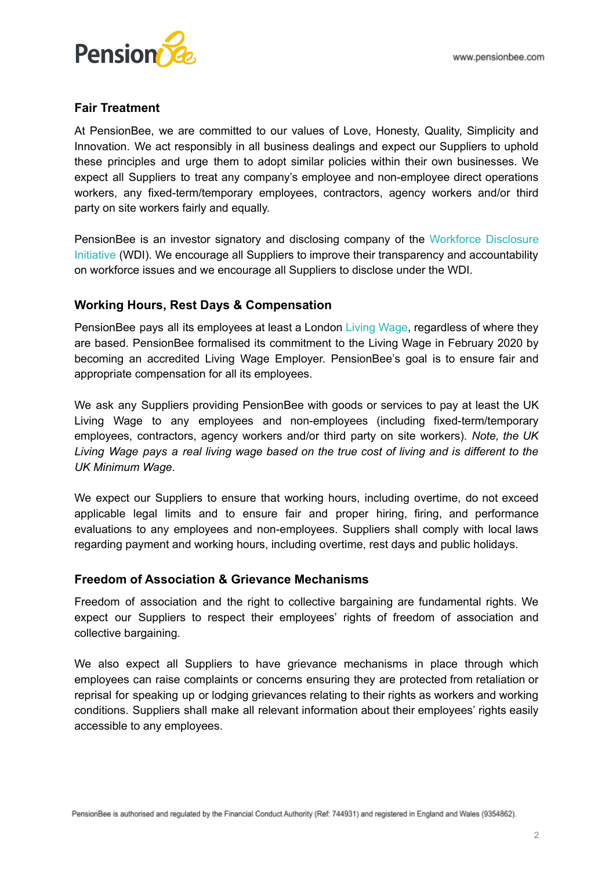

#### **Fair Treatment**

At PensionBee, we are committed to our values of Love, Honesty, Quality, Simplicity and Innovation. We act responsibly in all business dealings and expect our Suppliers to uphold these principles and urge them to adopt similar policies within their own businesses. We expect all Suppliers to treat any company's employee and non-employee direct operations workers, any fixed-term/temporary employees, contractors, agency workers and/or third party on site workers fairly and equally.

PensionBee is an investor signatory and disclosing company of the Workforce [Disclosure](https://shareaction.org/investor-initiatives/workforce-disclosure-initiative) [Initiative](https://shareaction.org/investor-initiatives/workforce-disclosure-initiative) (WDI). We encourage all Suppliers to improve their transparency and accountability on workforce issues and we encourage all Suppliers to disclose under the WDI.

#### **Working Hours, Rest Days & Compensation**

PensionBee pays all its employees at least a London Living [Wage,](https://www.livingwage.org.uk/) regardless of where they are based. PensionBee formalised its commitment to the Living Wage in February 2020 by becoming an accredited Living Wage Employer. PensionBee's goal is to ensure fair and appropriate compensation for all its employees.

We ask any Suppliers providing PensionBee with goods or services to pay at least the UK Living Wage to any employees and non-employees (including fixed-term/temporary employees, contractors, agency workers and/or third party on site workers). *Note, the UK* Living Wage pays a real living wage based on the true cost of living and is different to the *UK Minimum Wage*.

We expect our Suppliers to ensure that working hours, including overtime, do not exceed applicable legal limits and to ensure fair and proper hiring, firing, and performance evaluations to any employees and non-employees. Suppliers shall comply with local laws regarding payment and working hours, including overtime, rest days and public holidays.

#### **Freedom of Association & Grievance Mechanisms**

Freedom of association and the right to collective bargaining are fundamental rights. We expect our Suppliers to respect their employees' rights of freedom of association and collective bargaining.

We also expect all Suppliers to have grievance mechanisms in place through which employees can raise complaints or concerns ensuring they are protected from retaliation or reprisal for speaking up or lodging grievances relating to their rights as workers and working conditions. Suppliers shall make all relevant information about their employees' rights easily accessible to any employees.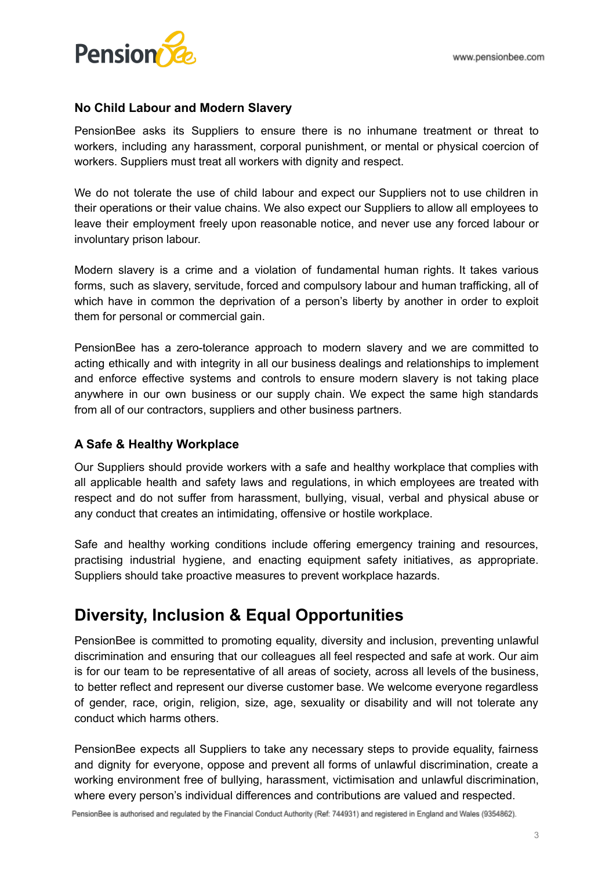

#### **No Child Labour and Modern Slavery**

PensionBee asks its Suppliers to ensure there is no inhumane treatment or threat to workers, including any harassment, corporal punishment, or mental or physical coercion of workers. Suppliers must treat all workers with dignity and respect.

We do not tolerate the use of child labour and expect our Suppliers not to use children in their operations or their value chains. We also expect our Suppliers to allow all employees to leave their employment freely upon reasonable notice, and never use any forced labour or involuntary prison labour.

Modern slavery is a crime and a violation of fundamental human rights. It takes various forms, such as slavery, servitude, forced and compulsory labour and human trafficking, all of which have in common the deprivation of a person's liberty by another in order to exploit them for personal or commercial gain.

PensionBee has a zero-tolerance approach to modern slavery and we are committed to acting ethically and with integrity in all our business dealings and relationships to implement and enforce effective systems and controls to ensure modern slavery is not taking place anywhere in our own business or our supply chain. We expect the same high standards from all of our contractors, suppliers and other business partners.

#### **A Safe & Healthy Workplace**

Our Suppliers should provide workers with a safe and healthy workplace that complies with all applicable health and safety laws and regulations, in which employees are treated with respect and do not suffer from harassment, bullying, visual, verbal and physical abuse or any conduct that creates an intimidating, offensive or hostile workplace.

Safe and healthy working conditions include offering emergency training and resources, practising industrial hygiene, and enacting equipment safety initiatives, as appropriate. Suppliers should take proactive measures to prevent workplace hazards.

### **Diversity, Inclusion & Equal Opportunities**

PensionBee is committed to promoting equality, diversity and inclusion, preventing unlawful discrimination and ensuring that our colleagues all feel respected and safe at work. Our aim is for our team to be representative of all areas of society, across all levels of the business, to better reflect and represent our diverse customer base. We welcome everyone regardless of gender, race, origin, religion, size, age, sexuality or disability and will not tolerate any conduct which harms others.

PensionBee expects all Suppliers to take any necessary steps to provide equality, fairness and dignity for everyone, oppose and prevent all forms of unlawful discrimination, create a working environment free of bullying, harassment, victimisation and unlawful discrimination, where every person's individual differences and contributions are valued and respected.

PensionBee is authorised and regulated by the Financial Conduct Authority (Ref: 744931) and registered in England and Wales (9354862).